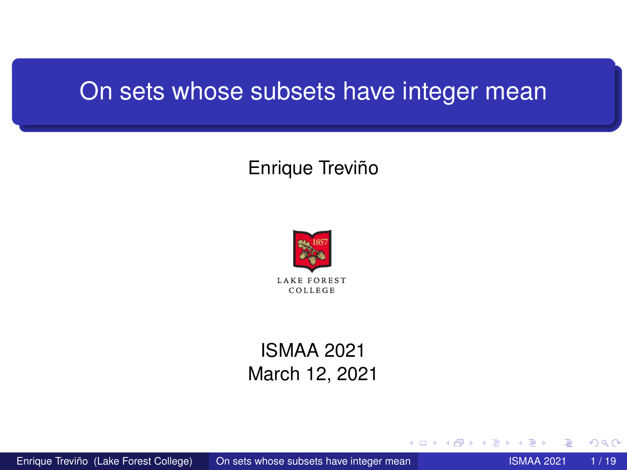## <span id="page-0-0"></span>On sets whose subsets have integer mean

#### Enrique Treviño



#### ISMAA 2021 March 12, 2021

4 0 8

Enrique Treviño (Lake Forest College) [On sets whose subsets have integer mean](#page-18-0) ISMAA 2021 1/19

÷.

 $299$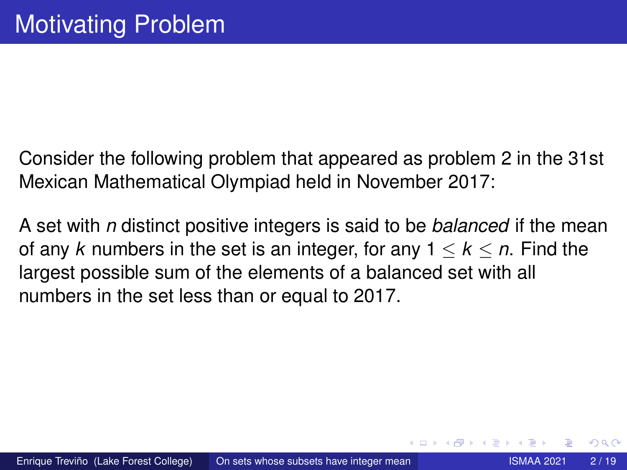- Consider the following problem that appeared as problem 2 in the 31st Mexican Mathematical Olympiad held in November 2017:
- A set with *n* distinct positive integers is said to be *balanced* if the mean of any *k* numbers in the set is an integer, for any 1 ≤ *k* ≤ *n*. Find the largest possible sum of the elements of a balanced set with all numbers in the set less than or equal to 2017.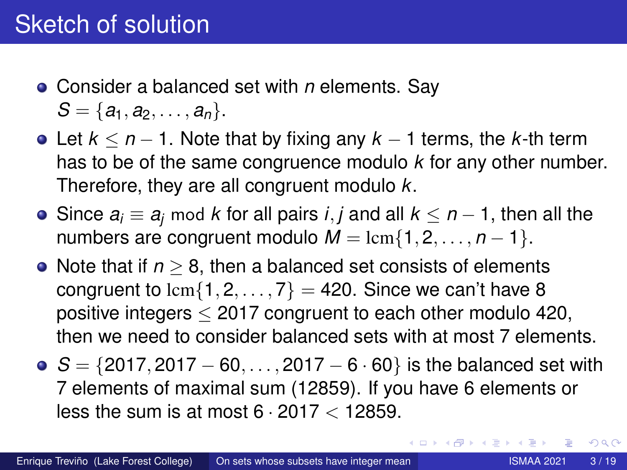# Sketch of solution

- Consider a balanced set with *n* elements. Say  $S = \{a_1, a_2, \ldots, a_n\}.$
- Let *k* ≤ *n* − 1. Note that by fixing any *k* − 1 terms, the *k*-th term has to be of the same congruence modulo *k* for any other number. Therefore, they are all congruent modulo *k*.
- $\bullet$  Since  $a_i \equiv a_i$  mod *k* for all pairs *i*, *j* and all  $k \leq n-1$ , then all the numbers are congruent modulo  $M = \text{lcm}\{1, 2, \ldots, n-1\}.$
- Note that if  $n > 8$ , then a balanced set consists of elements congruent to  $lcm{1, 2, \ldots, 7} = 420$ . Since we can't have 8 positive integers  $\leq$  2017 congruent to each other modulo 420, then we need to consider balanced sets with at most 7 elements.
- **•** *S* = {2017, 2017 − 60, . . . , 2017 − 6 · 60} is the balanced set with 7 elements of maximal sum (12859). If you have 6 elements or less the sum is at most  $6 \cdot 2017 < 12859$ .

 $\Omega$ 

K ロ ⊁ K 御 ⊁ K 君 ⊁ K 君 ⊁ …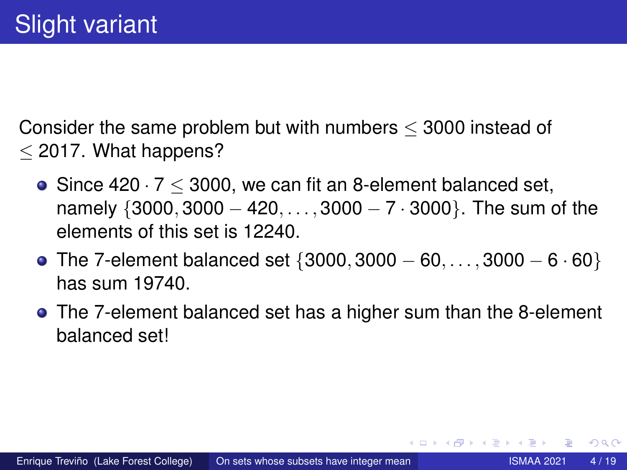Consider the same problem but with numbers  $\leq$  3000 instead of  $\leq$  2017. What happens?

- Since 420  $\cdot$  7  $\leq$  3000, we can fit an 8-element balanced set, namely  $\{3000, 3000 - 420, \ldots, 3000 - 7 \cdot 3000\}$ . The sum of the elements of this set is 12240.
- The 7-element balanced set  $\{3000, 3000 60, \ldots, 3000 6 \cdot 60\}$ has sum 19740.
- The 7-element balanced set has a higher sum than the 8-element balanced set!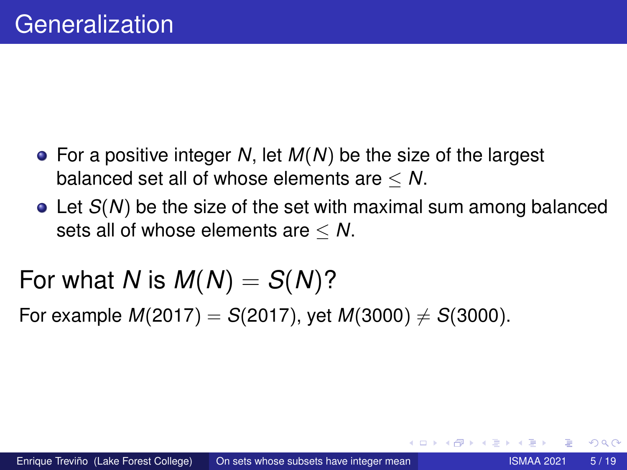- For a positive integer *N*, let *M*(*N*) be the size of the largest balanced set all of whose elements are ≤ *N*.
- Let *S*(*N*) be the size of the set with maximal sum among balanced sets all of whose elements are ≤ *N*.

# For what *N* is  $M(N) = S(N)$ ?

For example  $M(2017) = S(2017)$ , yet  $M(3000) \neq S(3000)$ .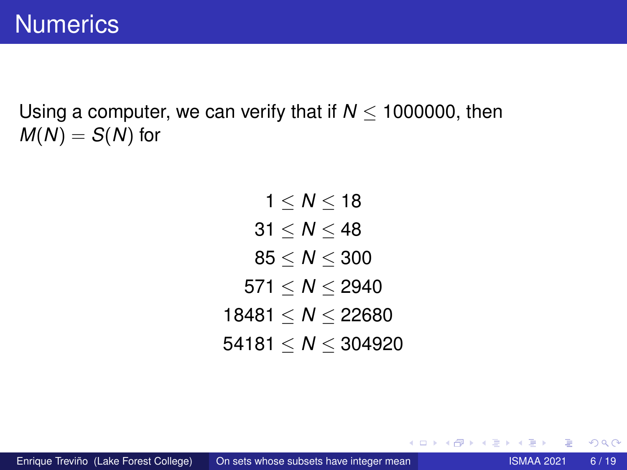Using a computer, we can verify that if *N* ≤ 1000000, then  $M(N) = S(N)$  for

> $1 < N < 18$  $31 < N < 48$ 85 ≤ *N* ≤ 300  $571 < N < 2940$ 18481 ≤ *N* ≤ 22680 54181 ≤ *N* ≤ 304920

 $298$ 

K ロ ▶ K 御 ▶ K 君 ▶ K 君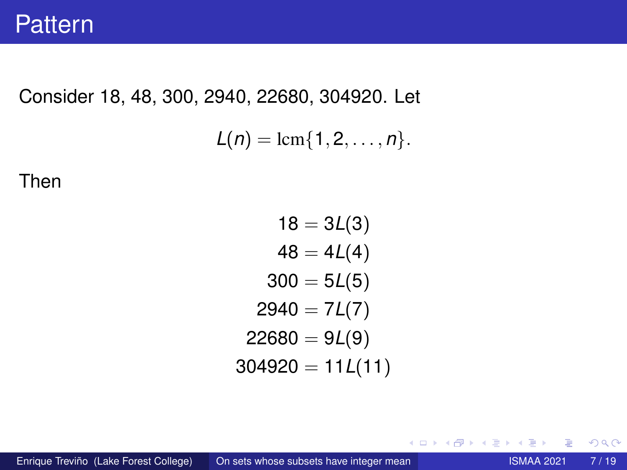### **Pattern**

Consider 18, 48, 300, 2940, 22680, 304920. Let

$$
L(n)=\text{lcm}\{1,2,\ldots,n\}.
$$

Then

$$
18 = 3L(3)
$$
  
\n
$$
48 = 4L(4)
$$
  
\n
$$
300 = 5L(5)
$$
  
\n
$$
2940 = 7L(7)
$$
  
\n
$$
22680 = 9L(9)
$$
  
\n
$$
304920 = 11L(11)
$$

너 혼 커서. ∍  $299$ 

4 0 8 1  $\leftarrow$   $\leftarrow$   $\leftarrow$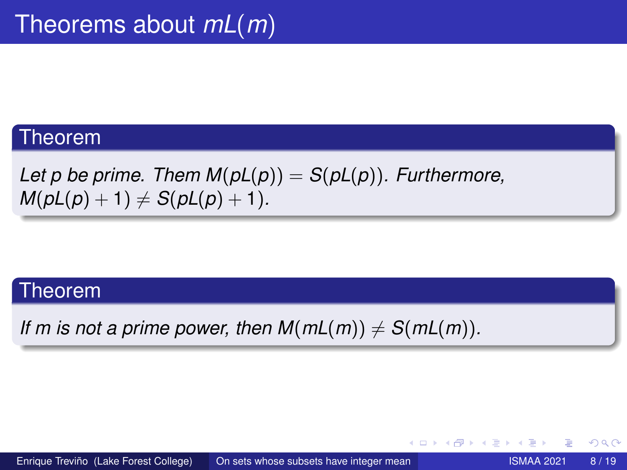#### Theorem

*Let p be prime. Them*  $M(pL(p)) = S(pL(p))$ *. Furthermore,*  $M(pL(p) + 1) \neq S(pL(p) + 1)$ *.* 

#### Theorem

*If m is not a prime power, then*  $M(mL(m)) \neq S(mL(m))$ *.* 

 $299$ 

K ロ ▶ K 御 ▶ K 君 ▶ K 君 ▶ ...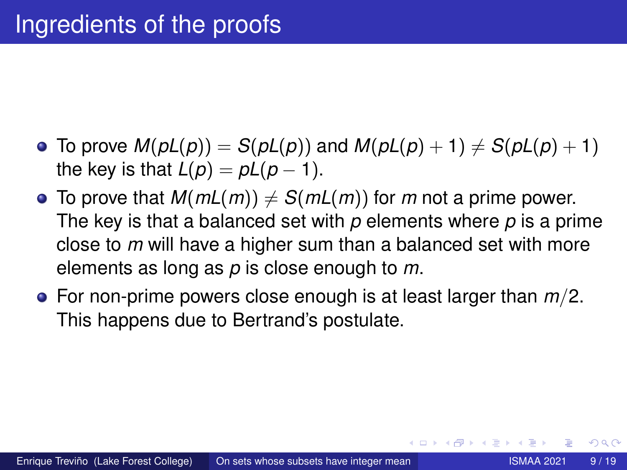- To prove  $M(pL(p)) = S(pL(p))$  and  $M(pL(p) + 1) \neq S(pL(p) + 1)$ the key is that  $L(p) = pL(p-1)$ .
- To prove that  $M(mL(m)) \neq S(mL(m))$  for *m* not a prime power. The key is that a balanced set with *p* elements where *p* is a prime close to *m* will have a higher sum than a balanced set with more elements as long as *p* is close enough to *m*.
- For non-prime powers close enough is at least larger than *m*/2. This happens due to Bertrand's postulate.

 $\Omega$ 

 $\rightarrow$   $\equiv$   $\rightarrow$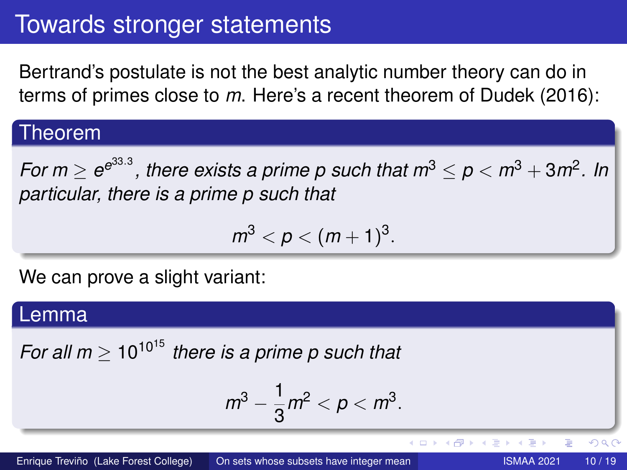## Towards stronger statements

Bertrand's postulate is not the best analytic number theory can do in terms of primes close to *m*. Here's a recent theorem of Dudek (2016):

#### Theorem

*For m*  $\geq e^{e^{33.3}}$ , there exists a prime p such that  $m^3 \leq p < m^3 + 3m^2$ . In *particular, there is a prime p such that*

$$
m^3
$$

We can prove a slight variant:

#### Lemma

*For all m*  $> 10^{10^{15}}$  *there is a prime p such that* 

$$
m^3 - \frac{1}{3}m^2 < p < m^3.
$$

 $290$ 

K ロ ⊁ K 倒 ≯ K 君 ⊁ K 君 ⊁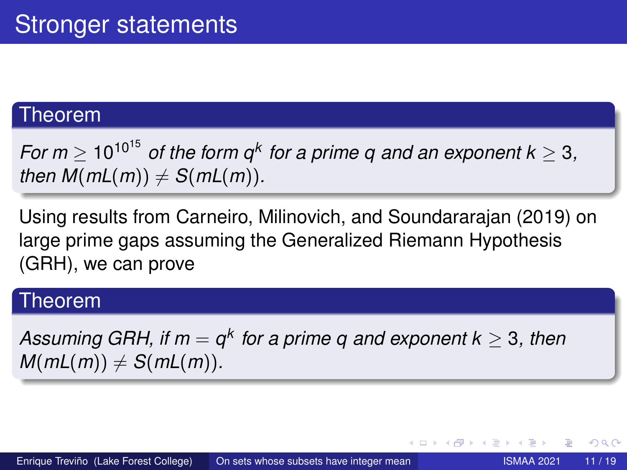#### Theorem

*For m*  $\geq 10^{10^{15}}$  *of the form q<sup>k</sup> for a prime q and an exponent k*  $\geq 3$ *, then*  $M(mL(m)) \neq S(mL(m))$ .

Using results from Carneiro, Milinovich, and Soundararajan (2019) on large prime gaps assuming the Generalized Riemann Hypothesis (GRH), we can prove

#### Theorem

 $A$ ssuming GRH, if  $m=q^k$  for a prime  $q$  and exponent  $k\geq 3$ , then  $M(mL(m)) \neq S(mL(m))$ .

 $\Omega$ 

イロト イ押ト イヨト イヨトー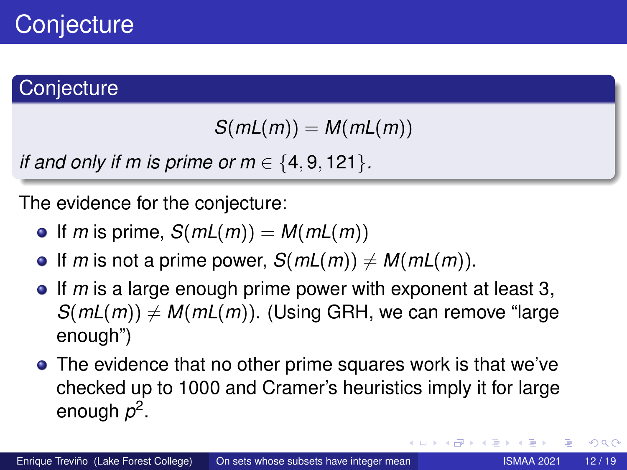## **Conjecture**

$$
S(mL(m)) = M(mL(m))
$$

*if and only if m is prime or m*  $\in$  {4, 9, 121}*.* 

The evidence for the conjecture:

- $\bullet$  If *m* is prime,  $S(mL(m)) = M(mL(m))$
- $\bullet$  If *m* is not a prime power,  $S(mL(m)) \neq M(mL(m))$ .
- If *m* is a large enough prime power with exponent at least 3,  $S(mL(m)) \neq M(mL(m))$ . (Using GRH, we can remove "large" enough")
- The evidence that no other prime squares work is that we've checked up to 1000 and Cramer's heuristics imply it for large enough *p*<sup>2</sup>.

4 D.K.

4 5 8 4 5 8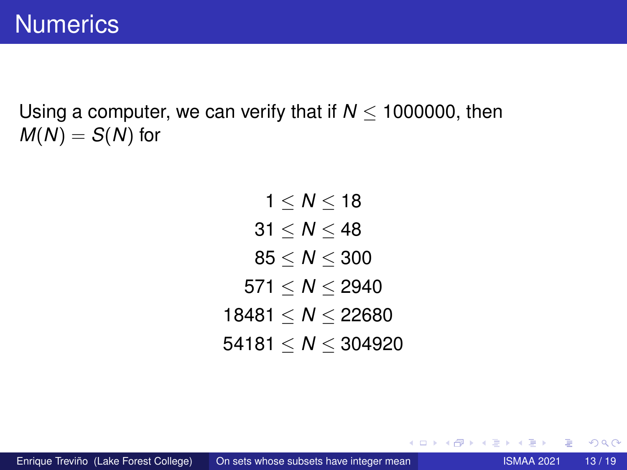Using a computer, we can verify that if *N* ≤ 1000000, then  $M(N) = S(N)$  for

> $1 < N < 18$  $31 < N < 48$ 85 ≤ *N* ≤ 300  $571 < N < 2940$ 18481 ≤ *N* ≤ 22680 54181 ≤ *N* ≤ 304920

 $\rightarrow$ 

4 D.K.

4 5 8 4 5 8 4 5

 $298$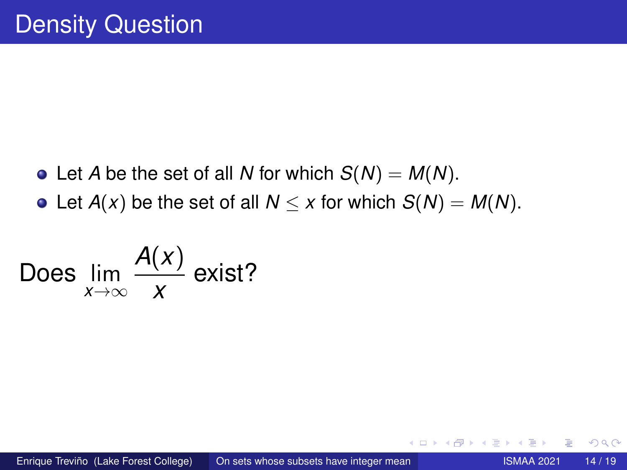- Let *A* be the set of all *N* for which  $S(N) = M(N)$ .
- Let  $A(x)$  be the set of all  $N \leq x$  for which  $S(N) = M(N)$ .

Does 
$$
\lim_{x \to \infty} \frac{A(x)}{x}
$$
 exist?

 $298$ 

4 0 8

4 F + 4 E + 4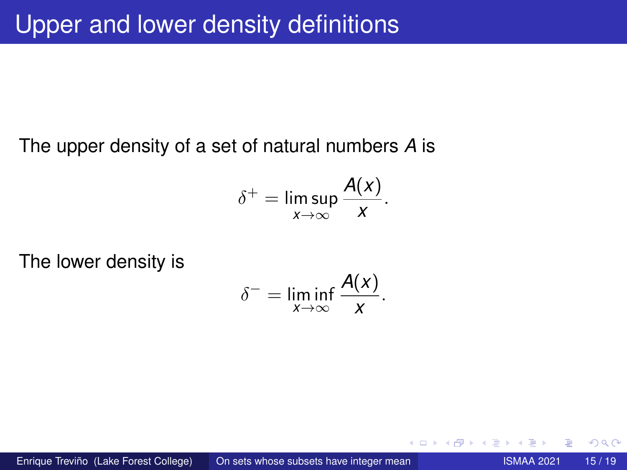The upper density of a set of natural numbers *A* is

$$
\delta^+ = \limsup_{x \to \infty} \frac{A(x)}{x}.
$$

The lower density is

$$
\delta^- = \liminf_{x \to \infty} \frac{A(x)}{x}.
$$

4 0 8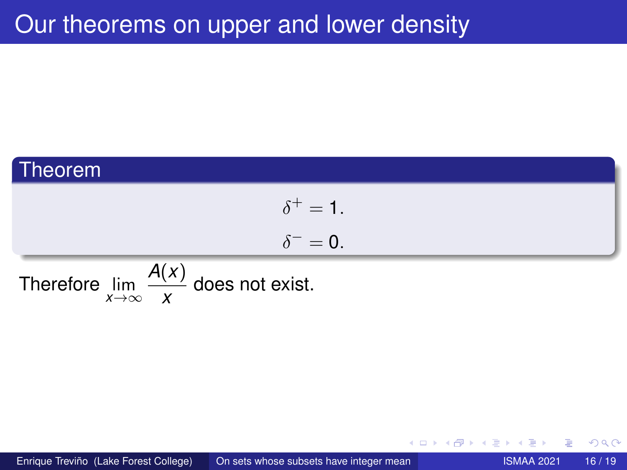#### Theorem

 $\delta^+ = 1$ .  $\delta^- = 0.$ 

Therefore lim *x*→∞ *A*(*x*)  $\frac{y}{x}$  does not exist.

 $299$ 

4 0 8

4 ଲ ⊧  $\rightarrow$   $\rightarrow$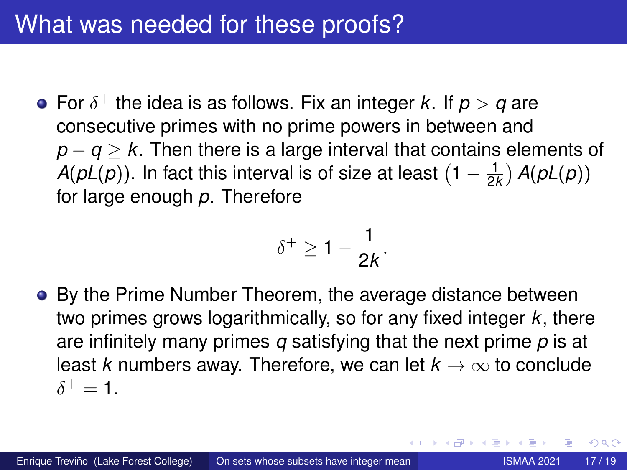# What was needed for these proofs?

For  $\delta^+$  the idea is as follows. Fix an integer  $k$ . If  $p > q$  are consecutive primes with no prime powers in between and *p* − *q* ≥ *k*. Then there is a large interval that contains elements of  $A(pL(p))$ . In fact this interval is of size at least  $(1 - \frac{1}{2^p})$  $\frac{1}{2k}$ )  $A(pL(p))$ for large enough *p*. Therefore

$$
\delta^+\geq 1-\frac{1}{2k}.
$$

By the Prime Number Theorem, the average distance between two primes grows logarithmically, so for any fixed integer *k*, there are infinitely many primes *q* satisfying that the next prime *p* is at least *k* numbers away. Therefore, we can let  $k \to \infty$  to conclude  $\delta^+ = 1$ .

 $\Omega$ 

 $\mathcal{A}$   $\overline{\mathcal{B}}$   $\rightarrow$   $\mathcal{A}$   $\overline{\mathcal{B}}$   $\rightarrow$   $\mathcal{A}$   $\overline{\mathcal{B}}$   $\rightarrow$   $\mathcal{B}$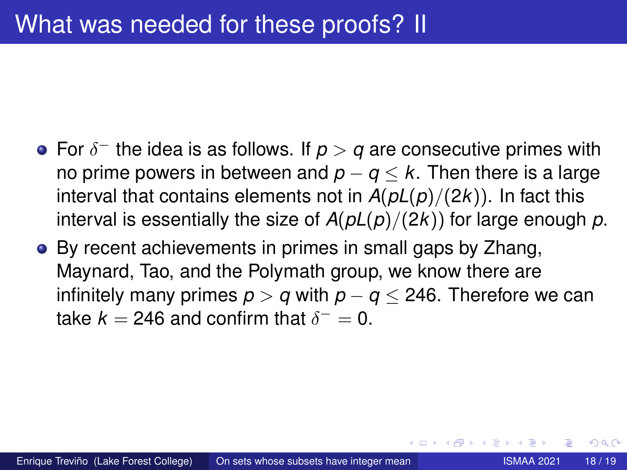- For  $\delta^-$  the idea is as follows. If  $p > q$  are consecutive primes with no prime powers in between and *p* − *q* ≤ *k*. Then there is a large interval that contains elements not in *A*(*pL*(*p*)/(2*k*)). In fact this interval is essentially the size of *A*(*pL*(*p*)/(2*k*)) for large enough *p*.
- By recent achievements in primes in small gaps by Zhang, Maynard, Tao, and the Polymath group, we know there are infinitely many primes  $p > q$  with  $p - q \le 246$ . Therefore we can take  $k = 246$  and confirm that  $\delta^+ = 0$ .